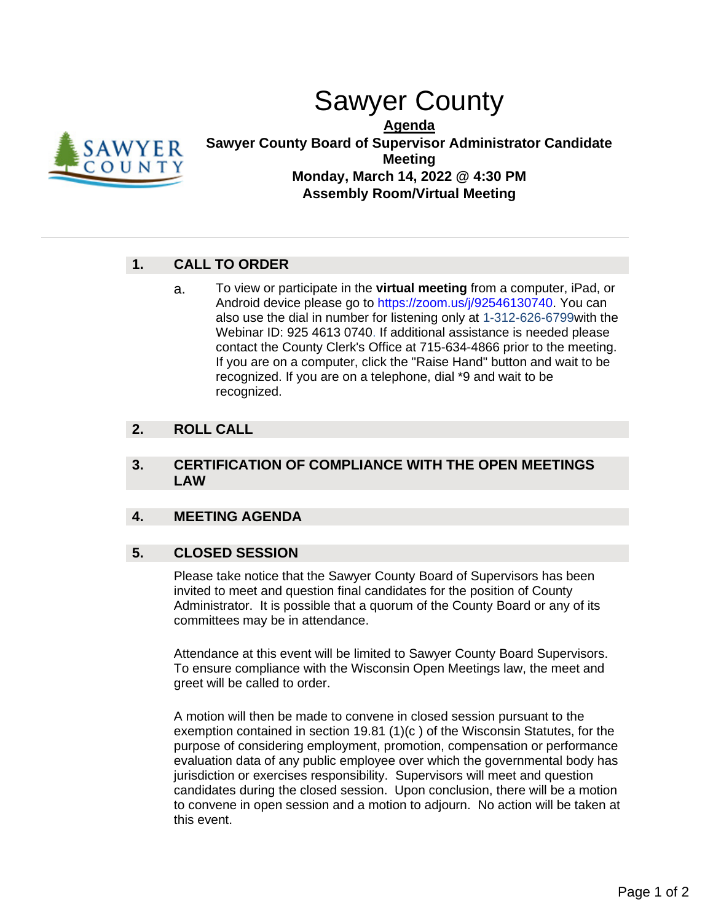# Sawyer County



**Agenda Sawyer County Board of Supervisor Administrator Candidate Meeting Monday, March 14, 2022 @ 4:30 PM Assembly Room/Virtual Meeting**

## **1. CALL TO ORDER**

a. To view or participate in the **virtual meeting** from a computer, iPad, or Android device please go to https://zoom.us/j/92546130740. You can also use the dial in number for listening only at 1-312-626-6799with the Webinar ID: 925 4613 0740. If additional assistance is needed please contact the County Clerk's Office at 715-634-4866 prior to the meeting. If you are on a computer, click the "Raise Hand" button and wait to be recognized. If you are on a telephone, dial \*9 and wait to be recognized.

## **2. ROLL CALL**

### **3. CERTIFICATION OF COMPLIANCE WITH THE OPEN MEETINGS LAW**

### **4. MEETING AGENDA**

## **5. CLOSED SESSION**

Please take notice that the Sawyer County Board of Supervisors has been invited to meet and question final candidates for the position of County Administrator. It is possible that a quorum of the County Board or any of its committees may be in attendance.

Attendance at this event will be limited to Sawyer County Board Supervisors. To ensure compliance with the Wisconsin Open Meetings law, the meet and greet will be called to order.

A motion will then be made to convene in closed session pursuant to the exemption contained in section 19.81 (1)(c ) of the Wisconsin Statutes, for the purpose of considering employment, promotion, compensation or performance evaluation data of any public employee over which the governmental body has jurisdiction or exercises responsibility. Supervisors will meet and question candidates during the closed session. Upon conclusion, there will be a motion to convene in open session and a motion to adjourn. No action will be taken at this event.